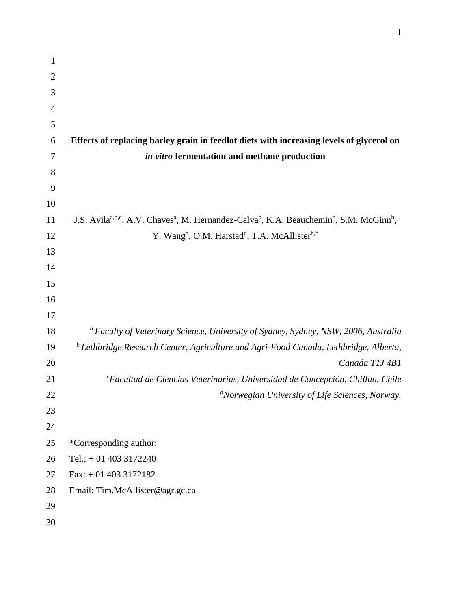| $\mathbf{1}$   |                                                                                                                                                      |
|----------------|------------------------------------------------------------------------------------------------------------------------------------------------------|
| $\overline{2}$ |                                                                                                                                                      |
| 3              |                                                                                                                                                      |
| 4              |                                                                                                                                                      |
| 5              |                                                                                                                                                      |
| 6              | Effects of replacing barley grain in feedlot diets with increasing levels of glycerol on                                                             |
| 7              | in vitro fermentation and methane production                                                                                                         |
| 8              |                                                                                                                                                      |
| 9              |                                                                                                                                                      |
| 10             |                                                                                                                                                      |
| 11             | J.S. Avila <sup>a,b,c</sup> , A.V. Chaves <sup>a</sup> , M. Hernandez-Calva <sup>b</sup> , K.A. Beauchemin <sup>b</sup> , S.M. McGinn <sup>b</sup> , |
| 12             | Y. Wang <sup>b</sup> , O.M. Harstad <sup>d</sup> , T.A. McAllister <sup>b,*</sup>                                                                    |
| 13             |                                                                                                                                                      |
| 14             |                                                                                                                                                      |
| 15             |                                                                                                                                                      |
| 16             |                                                                                                                                                      |
| 17             |                                                                                                                                                      |
| 18             | <sup>a</sup> Faculty of Veterinary Science, University of Sydney, Sydney, NSW, 2006, Australia                                                       |
| 19             | <sup>b</sup> Lethbridge Research Center, Agriculture and Agri-Food Canada, Lethbridge, Alberta,                                                      |
| 20             | Canada T1J 4B1                                                                                                                                       |
| 21             | <sup>c</sup> Facultad de Ciencias Veterinarias, Universidad de Concepción, Chillan, Chile                                                            |
| 22             | <sup>d</sup> Norwegian University of Life Sciences, Norway.                                                                                          |
| 23             |                                                                                                                                                      |
| 24             |                                                                                                                                                      |
| 25             | *Corresponding author:                                                                                                                               |
| 26             | Tel.: $+ 01 403 3172240$                                                                                                                             |
| 27             | $Fax: +014033172182$                                                                                                                                 |
| 28             | Email: Tim.McAllister@agr.gc.ca                                                                                                                      |
| 29             |                                                                                                                                                      |
| 30             |                                                                                                                                                      |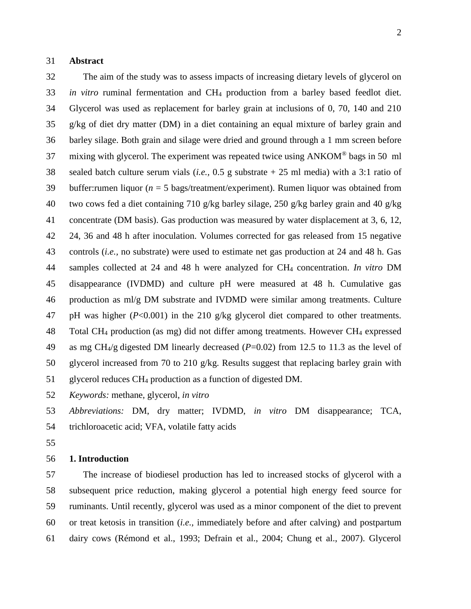#### **Abstract**

 The aim of the study was to assess impacts of increasing dietary levels of glycerol on *in vitro* ruminal fermentation and CH<sup>4</sup> production from a barley based feedlot diet. Glycerol was used as replacement for barley grain at inclusions of 0, 70, 140 and 210 g/kg of diet dry matter (DM) in a diet containing an equal mixture of barley grain and barley silage. Both grain and silage were dried and ground through a 1 mm screen before 37 mixing with glycerol. The experiment was repeated twice using  $ANKOM^{\circledast}$  bags in 50 ml sealed batch culture serum vials (*i.e.,* 0.5 g substrate + 25 ml media) with a 3:1 ratio of buffer:rumen liquor (*n* = 5 bags/treatment/experiment). Rumen liquor was obtained from two cows fed a diet containing 710 g/kg barley silage, 250 g/kg barley grain and 40 g/kg concentrate (DM basis). Gas production was measured by water displacement at 3, 6, 12, 24, 36 and 48 h after inoculation. Volumes corrected for gas released from 15 negative controls (*i.e.,* no substrate) were used to estimate net gas production at 24 and 48 h. Gas samples collected at 24 and 48 h were analyzed for CH<sup>4</sup> concentration. *In vitro* DM disappearance (IVDMD) and culture pH were measured at 48 h. Cumulative gas 46 production as  $m/g$  DM substrate and IVDMD were similar among treatments. Culture pH was higher (*P*<0.001) in the 210 g/kg glycerol diet compared to other treatments. Total CH<sup>4</sup> production (as mg) did not differ among treatments. However CH<sup>4</sup> expressed as mg CH4/g digested DM linearly decreased (*P*=0.02) from 12.5 to 11.3 as the level of glycerol increased from 70 to 210 g/kg. Results suggest that replacing barley grain with glycerol reduces CH<sup>4</sup> production as a function of digested DM.

*Keywords:* methane, glycerol, *in vitro*

 *Abbreviations:* DM, dry matter; IVDMD, *in vitro* DM disappearance; TCA, trichloroacetic acid; VFA, volatile fatty acids

#### **1. Introduction**

 The increase of biodiesel production has led to increased stocks of glycerol with a subsequent price reduction, making glycerol a potential high energy feed source for ruminants. Until recently, glycerol was used as a minor component of the diet to prevent or treat ketosis in transition (*i.e.,* immediately before and after calving) and postpartum dairy cows (Rémond et al., 1993; Defrain et al., 2004; Chung et al., 2007). Glycerol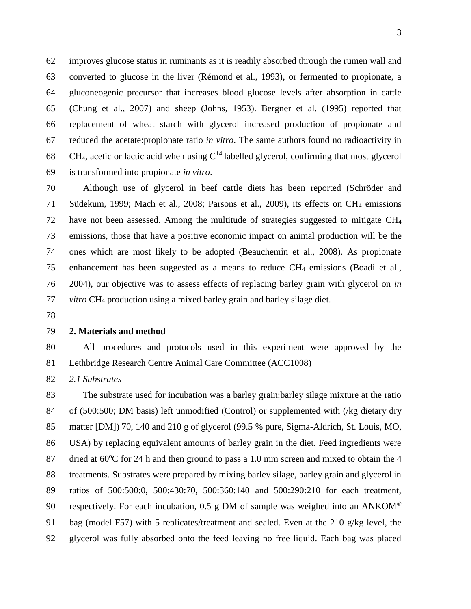improves glucose status in ruminants as it is readily absorbed through the rumen wall and converted to glucose in the liver (Rémond et al., 1993), or fermented to propionate, a gluconeogenic precursor that increases blood glucose levels after absorption in cattle (Chung et al., 2007) and sheep (Johns, 1953). Bergner et al. (1995) reported that replacement of wheat starch with glycerol increased production of propionate and reduced the acetate:propionate ratio *in vitro*. The same authors found no radioactivity in 68 CH<sub>4</sub>, acetic or lactic acid when using  $C^{14}$  labelled glycerol, confirming that most glycerol is transformed into propionate *in vitro*.

 Although use of glycerol in beef cattle diets has been reported (Schröder and Südekum, 1999; Mach et al., 2008; Parsons et al., 2009), its effects on CH<sup>4</sup> emissions have not been assessed. Among the multitude of strategies suggested to mitigate CH<sup>4</sup> emissions, those that have a positive economic impact on animal production will be the ones which are most likely to be adopted (Beauchemin et al., 2008). As propionate enhancement has been suggested as a means to reduce CH<sup>4</sup> emissions (Boadi et al., 2004), our objective was to assess effects of replacing barley grain with glycerol on *in vitro* CH<sup>4</sup> production using a mixed barley grain and barley silage diet.

### **2. Materials and method**

 All procedures and protocols used in this experiment were approved by the Lethbridge Research Centre Animal Care Committee (ACC1008)

*2.1 Substrates*

 The substrate used for incubation was a barley grain:barley silage mixture at the ratio of (500:500; DM basis) left unmodified (Control) or supplemented with (/kg dietary dry matter [DM]) 70, 140 and 210 g of glycerol (99.5 % pure, Sigma-Aldrich, St. Louis, MO, USA) by replacing equivalent amounts of barley grain in the diet. Feed ingredients were 87 dried at  $60^{\circ}$ C for 24 h and then ground to pass a 1.0 mm screen and mixed to obtain the 4 treatments. Substrates were prepared by mixing barley silage, barley grain and glycerol in ratios of 500:500:0, 500:430:70, 500:360:140 and 500:290:210 for each treatment, 90 respectively. For each incubation, 0.5 g DM of sample was weighed into an ANKOM<sup>®</sup> bag (model F57) with 5 replicates/treatment and sealed. Even at the 210 g/kg level, the glycerol was fully absorbed onto the feed leaving no free liquid. Each bag was placed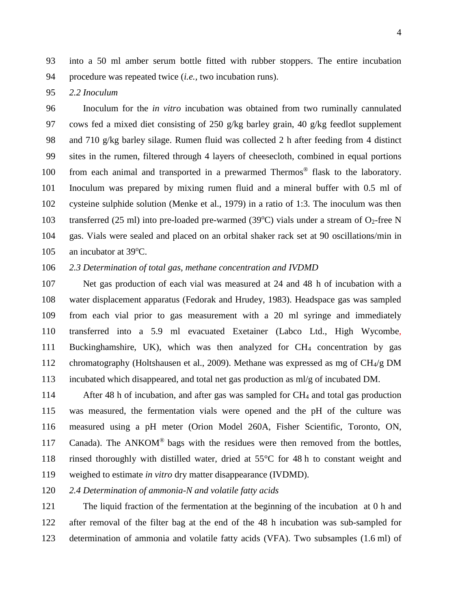into a 50 ml amber serum bottle fitted with rubber stoppers. The entire incubation procedure was repeated twice (*i.e.,* two incubation runs).

*2.2 Inoculum*

 Inoculum for the *in vitro* incubation was obtained from two ruminally cannulated 97 cows fed a mixed diet consisting of 250 g/kg barley grain, 40 g/kg feedlot supplement and 710 g/kg barley silage. Rumen fluid was collected 2 h after feeding from 4 distinct sites in the rumen, filtered through 4 layers of cheesecloth, combined in equal portions 100 from each animal and transported in a prewarmed Thermos<sup>®</sup> flask to the laboratory. Inoculum was prepared by mixing rumen fluid and a mineral buffer with 0.5 ml of cysteine sulphide solution (Menke et al., 1979) in a ratio of 1:3. The inoculum was then 103 transferred (25 ml) into pre-loaded pre-warmed (39 $^{\circ}$ C) vials under a stream of O<sub>2</sub>-free N gas. Vials were sealed and placed on an orbital shaker rack set at 90 oscillations/min in 105 an incubator at  $39^{\circ}$ C.

## *2.3 Determination of total gas, methane concentration and IVDMD*

 Net gas production of each vial was measured at 24 and 48 h of incubation with a water displacement apparatus (Fedorak and Hrudey, 1983). Headspace gas was sampled from each vial prior to gas measurement with a 20 ml syringe and immediately transferred into a 5.9 ml evacuated Exetainer (Labco Ltd., High Wycombe, Buckinghamshire, UK), which was then analyzed for CH<sup>4</sup> concentration by gas chromatography (Holtshausen et al., 2009). Methane was expressed as mg of CH4/g DM incubated which disappeared, and total net gas production as ml/g of incubated DM.

 After 48 h of incubation, and after gas was sampled for CH<sup>4</sup> and total gas production was measured, the fermentation vials were opened and the pH of the culture was measured using a pH meter (Orion Model 260A, Fisher Scientific, Toronto, ON, 117 Canada). The ANKOM<sup>®</sup> bags with the residues were then removed from the bottles, rinsed thoroughly with distilled water, dried at 55°C for 48 h to constant weight and weighed to estimate *in vitro* dry matter disappearance (IVDMD).

*2.4 Determination of ammonia-N and volatile fatty acids*

 The liquid fraction of the fermentation at the beginning of the incubation at 0 h and after removal of the filter bag at the end of the 48 h incubation was sub-sampled for determination of ammonia and volatile fatty acids (VFA). Two subsamples (1.6 ml) of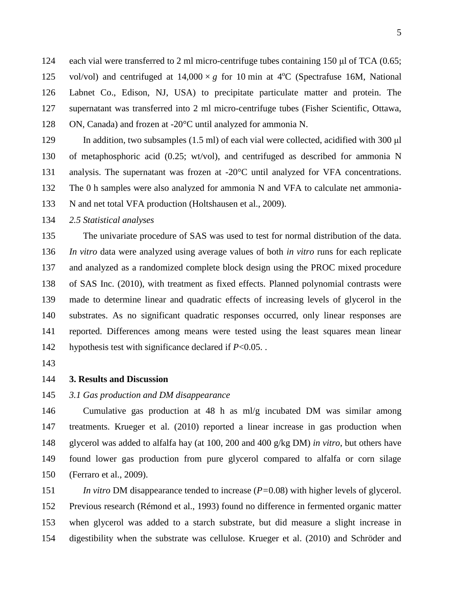each vial were transferred to 2 ml micro-centrifuge tubes containing 150 μl of TCA (0.65; 125 vol/vol) and centrifuged at  $14,000 \times g$  for 10 min at 4°C (Spectrafuse 16M, National Labnet Co., Edison, NJ, USA) to precipitate particulate matter and protein. The supernatant was transferred into 2 ml micro-centrifuge tubes (Fisher Scientific, Ottawa, ON, Canada) and frozen at -20°C until analyzed for ammonia N.

 In addition, two subsamples (1.5 ml) of each vial were collected, acidified with 300 μl of metaphosphoric acid (0.25; wt/vol), and centrifuged as described for ammonia N analysis. The supernatant was frozen at -20°C until analyzed for VFA concentrations. The 0 h samples were also analyzed for ammonia N and VFA to calculate net ammonia-N and net total VFA production (Holtshausen et al., 2009).

*2.5 Statistical analyses*

 The univariate procedure of SAS was used to test for normal distribution of the data. *In vitro* data were analyzed using average values of both *in vitro* runs for each replicate and analyzed as a randomized complete block design using the PROC mixed procedure of SAS Inc. (2010), with treatment as fixed effects. Planned polynomial contrasts were made to determine linear and quadratic effects of increasing levels of glycerol in the substrates. As no significant quadratic responses occurred, only linear responses are reported. Differences among means were tested using the least squares mean linear hypothesis test with significance declared if *P*<0.05. .

#### **3. Results and Discussion**

*3.1 Gas production and DM disappearance* 

 Cumulative gas production at 48 h as ml/g incubated DM was similar among treatments. Krueger et al. (2010) reported a linear increase in gas production when glycerol was added to alfalfa hay (at 100, 200 and 400 g/kg DM) *in vitro*, but others have found lower gas production from pure glycerol compared to alfalfa or corn silage (Ferraro et al., 2009).

 *In vitro* DM disappearance tended to increase (*P=*0.08) with higher levels of glycerol. Previous research (Rémond et al., 1993) found no difference in fermented organic matter when glycerol was added to a starch substrate, but did measure a slight increase in digestibility when the substrate was cellulose. Krueger et al. (2010) and Schröder and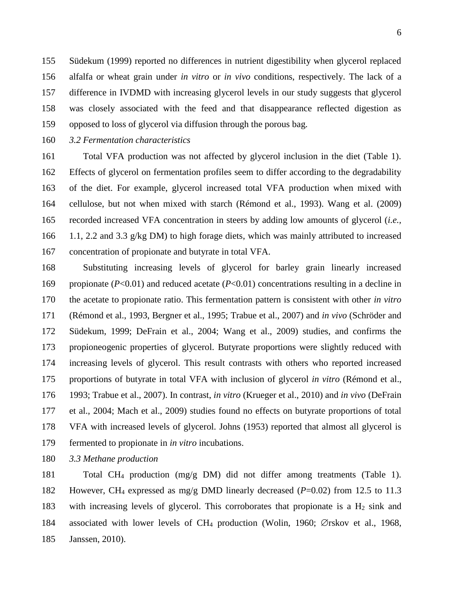Südekum (1999) reported no differences in nutrient digestibility when glycerol replaced alfalfa or wheat grain under *in vitro* or *in vivo* conditions, respectively. The lack of a difference in IVDMD with increasing glycerol levels in our study suggests that glycerol was closely associated with the feed and that disappearance reflected digestion as opposed to loss of glycerol via diffusion through the porous bag.

*3.2 Fermentation characteristics*

 Total VFA production was not affected by glycerol inclusion in the diet (Table 1). Effects of glycerol on fermentation profiles seem to differ according to the degradability of the diet. For example, glycerol increased total VFA production when mixed with cellulose, but not when mixed with starch (Rémond et al., 1993). Wang et al. (2009) recorded increased VFA concentration in steers by adding low amounts of glycerol (*i.e.,*  1.1, 2.2 and 3.3 g/kg DM) to high forage diets, which was mainly attributed to increased concentration of propionate and butyrate in total VFA.

 Substituting increasing levels of glycerol for barley grain linearly increased 169 propionate  $(P<0.01)$  and reduced acetate  $(P<0.01)$  concentrations resulting in a decline in the acetate to propionate ratio. This fermentation pattern is consistent with other *in vitro* (Rémond et al., 1993, Bergner et al., 1995; Trabue et al., 2007) and *in vivo* (Schröder and Südekum, 1999; DeFrain et al., 2004; Wang et al., 2009) studies, and confirms the propioneogenic properties of glycerol. Butyrate proportions were slightly reduced with increasing levels of glycerol. This result contrasts with others who reported increased proportions of butyrate in total VFA with inclusion of glycerol *in vitro* (Rémond et al., 1993; Trabue et al., 2007). In contrast, *in vitro* (Krueger et al., 2010) and *in vivo* (DeFrain et al., 2004; Mach et al., 2009) studies found no effects on butyrate proportions of total VFA with increased levels of glycerol. Johns (1953) reported that almost all glycerol is fermented to propionate in *in vitro* incubations.

*3.3 Methane production*

 Total CH<sup>4</sup> production (mg/g DM) did not differ among treatments (Table 1). However, CH<sup>4</sup> expressed as mg/g DMD linearly decreased (*P*=0.02) from 12.5 to 11.3 183 with increasing levels of glycerol. This corroborates that propionate is a H<sub>2</sub> sink and 184 associated with lower levels of CH<sub>4</sub> production (Wolin, 1960;  $\emptyset$ rskov et al., 1968, Janssen, 2010).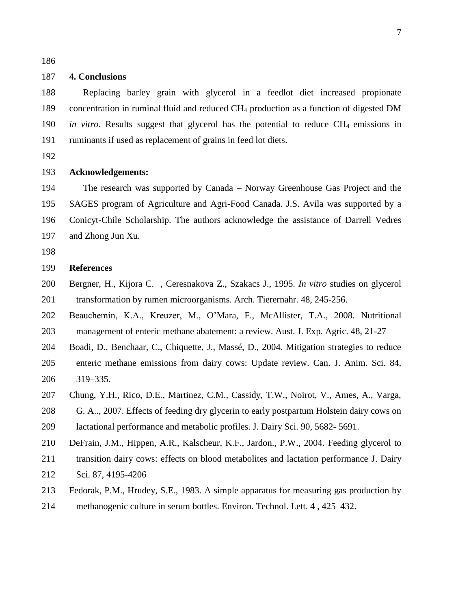## **4. Conclusions**

 Replacing barley grain with glycerol in a feedlot diet increased propionate concentration in ruminal fluid and reduced CH<sup>4</sup> production as a function of digested DM *in vitro*. Results suggest that glycerol has the potential to reduce CH<sub>4</sub> emissions in ruminants if used as replacement of grains in feed lot diets.

# **Acknowledgements:**

 The research was supported by Canada – Norway Greenhouse Gas Project and the SAGES program of Agriculture and Agri-Food Canada. J.S. Avila was supported by a Conicyt-Chile Scholarship. The authors acknowledge the assistance of Darrell Vedres and Zhong Jun Xu.

# **References**

- Bergner, H., Kijora C. , Ceresnakova Z., Szakacs J., 1995. *In vitro* studies on glycerol transformation by rumen microorganisms. Arch. Tierernahr. 48, 245-256.
- Beauchemin, K.A., Kreuzer, M., O'Mara, F., McAllister, T.A., 2008. Nutritional management of enteric methane abatement: a review. Aust. J. Exp. Agric. 48, 21-27
- Boadi, D., Benchaar, C., Chiquette, J., Massé, D., 2004. Mitigation strategies to reduce
- enteric methane emissions from dairy cows: Update review. Can. J. Anim. Sci. 84, 319–335.
- Chung, Y.H., Rico, D.E., Martinez, C.M., Cassidy, T.W., Noirot, V., Ames, A., Varga,
- G. A.., 2007. Effects of feeding dry glycerin to early postpartum Holstein dairy cows on
- lactational performance and metabolic profiles. J. Dairy Sci. 90, 5682- 5691.
- DeFrain, J.M., Hippen, A.R., Kalscheur, K.F., Jardon., P.W., 2004. Feeding glycerol to
- transition dairy cows: effects on blood metabolites and lactation performance J. Dairy
- Sci. 87, 4195-4206
- Fedorak, P.M., Hrudey, S.E., 1983. A simple apparatus for measuring gas production by
- methanogenic culture in serum bottles. Environ. Technol. Lett. 4 , 425–432.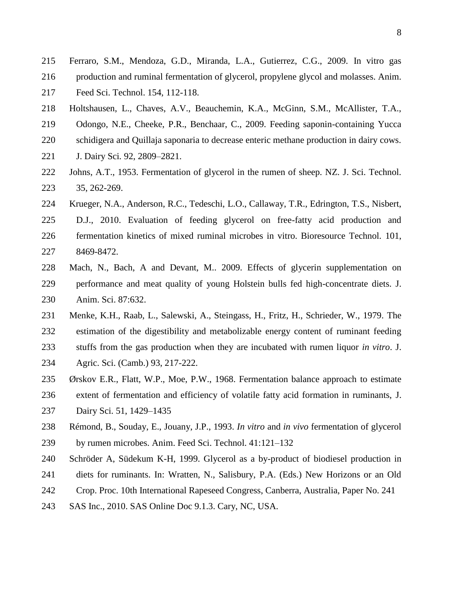- Ferraro, S.M., Mendoza, G.D., Miranda, L.A., Gutierrez, C.G., 2009. In vitro gas
- production and ruminal fermentation of glycerol, propylene glycol and molasses. Anim.
- Feed Sci. Technol. 154, 112-118.
- Holtshausen, L., Chaves, A.V., Beauchemin, K.A., McGinn, S.M., McAllister, T.A.,
- Odongo, N.E., Cheeke, P.R., Benchaar, C., 2009. Feeding saponin-containing Yucca
- schidigera and Quillaja saponaria to decrease enteric methane production in dairy cows.
- J. Dairy Sci*.* 92, 2809–2821.
- Johns, A.T., 1953. Fermentation of glycerol in the rumen of sheep. NZ. J. Sci. Technol. 35, 262-269.
- Krueger, N.A., Anderson, R.C., Tedeschi, L.O., Callaway, T.R., Edrington, T.S., Nisbert,
- D.J., 2010. Evaluation of feeding glycerol on free-fatty acid production and fermentation kinetics of mixed ruminal microbes in vitro. Bioresource Technol. 101, 8469-8472.
- Mach, N., Bach, A and Devant, M.. 2009. Effects of glycerin supplementation on performance and meat quality of young Holstein bulls fed high-concentrate diets. J. Anim. Sci. 87:632.
- Menke, K.H., Raab, L., Salewski, A., Steingass, H., Fritz, H., Schrieder, W., 1979. The estimation of the digestibility and metabolizable energy content of ruminant feeding
- stuffs from the gas production when they are incubated with rumen liquor *in vitro*. J.
- Agric. Sci. (Camb.) 93, 217-222.
- Ørskov E.R., Flatt, W.P., Moe, P.W., 1968. Fermentation balance approach to estimate
- extent of fermentation and efficiency of volatile fatty acid formation in ruminants, J.
- Dairy Sci. 51, 1429–1435
- Rémond, B., Souday, E., Jouany, J.P., 1993. *In vitro* and *in vivo* fermentation of glycerol
- by rumen microbes. Anim. Feed Sci. Technol. 41:121–132
- Schröder A, Südekum K-H, 1999. Glycerol as a by-product of biodiesel production in
- diets for ruminants. In: Wratten, N., Salisbury, P.A. (Eds.) New Horizons or an Old
- Crop. Proc. 10th International Rapeseed Congress, Canberra, Australia, Paper No. 241
- SAS Inc., 2010. SAS Online Doc 9.1.3. Cary, NC, USA.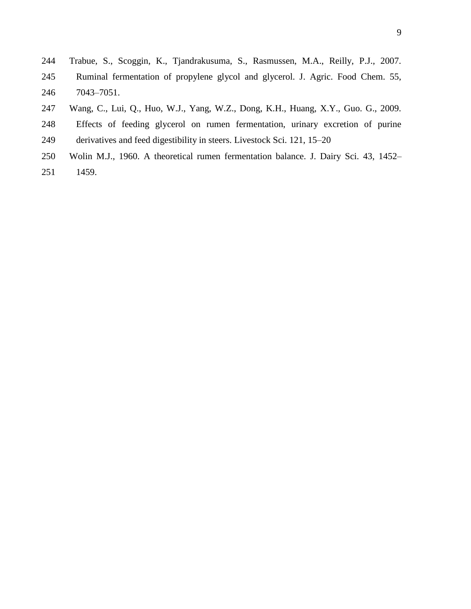- Trabue, S., Scoggin, K., Tjandrakusuma, S., Rasmussen, M.A., Reilly, P.J., 2007.
- Ruminal fermentation of propylene glycol and glycerol. J. Agric. Food Chem. 55, 7043–7051.
- Wang, C., Lui, Q., Huo, W.J., Yang, W.Z., Dong, K.H., Huang, X.Y., Guo. G., 2009.
- Effects of feeding glycerol on rumen fermentation, urinary excretion of purine
- derivatives and feed digestibility in steers. Livestock Sci. 121, 15–20
- Wolin M.J., 1960. A theoretical rumen fermentation balance. J. Dairy Sci. 43, 1452–
- 1459.